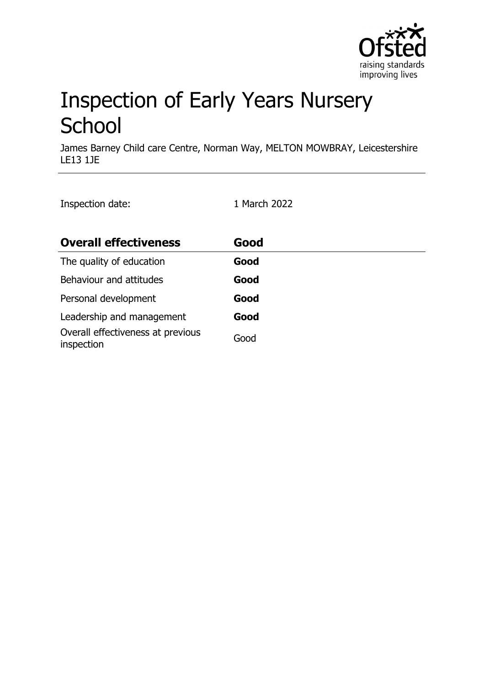

# Inspection of Early Years Nursery **School**

James Barney Child care Centre, Norman Way, MELTON MOWBRAY, Leicestershire LE13 1JE

Inspection date: 1 March 2022

| <b>Overall effectiveness</b>                    | Good |
|-------------------------------------------------|------|
| The quality of education                        | Good |
| Behaviour and attitudes                         | Good |
| Personal development                            | Good |
| Leadership and management                       | Good |
| Overall effectiveness at previous<br>inspection | Good |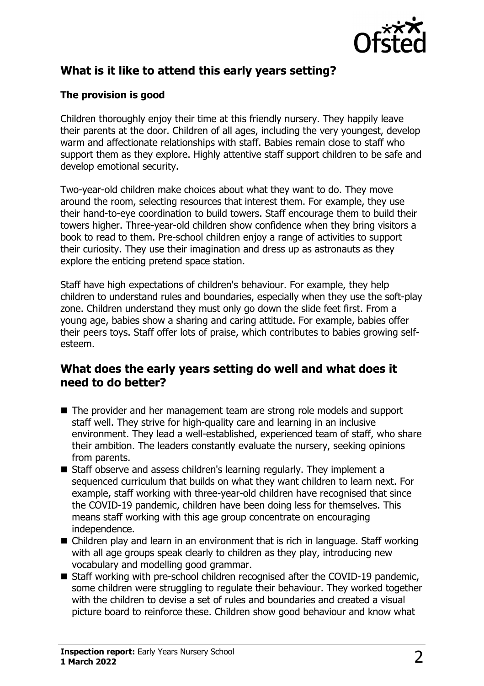

## **What is it like to attend this early years setting?**

#### **The provision is good**

Children thoroughly enjoy their time at this friendly nursery. They happily leave their parents at the door. Children of all ages, including the very youngest, develop warm and affectionate relationships with staff. Babies remain close to staff who support them as they explore. Highly attentive staff support children to be safe and develop emotional security.

Two-year-old children make choices about what they want to do. They move around the room, selecting resources that interest them. For example, they use their hand-to-eye coordination to build towers. Staff encourage them to build their towers higher. Three-year-old children show confidence when they bring visitors a book to read to them. Pre-school children enjoy a range of activities to support their curiosity. They use their imagination and dress up as astronauts as they explore the enticing pretend space station.

Staff have high expectations of children's behaviour. For example, they help children to understand rules and boundaries, especially when they use the soft-play zone. Children understand they must only go down the slide feet first. From a young age, babies show a sharing and caring attitude. For example, babies offer their peers toys. Staff offer lots of praise, which contributes to babies growing selfesteem.

### **What does the early years setting do well and what does it need to do better?**

- The provider and her management team are strong role models and support staff well. They strive for high-quality care and learning in an inclusive environment. They lead a well-established, experienced team of staff, who share their ambition. The leaders constantly evaluate the nursery, seeking opinions from parents.
- Staff observe and assess children's learning regularly. They implement a sequenced curriculum that builds on what they want children to learn next. For example, staff working with three-year-old children have recognised that since the COVID-19 pandemic, children have been doing less for themselves. This means staff working with this age group concentrate on encouraging independence.
- $\blacksquare$  Children play and learn in an environment that is rich in language. Staff working with all age groups speak clearly to children as they play, introducing new vocabulary and modelling good grammar.
- Staff working with pre-school children recognised after the COVID-19 pandemic, some children were struggling to regulate their behaviour. They worked together with the children to devise a set of rules and boundaries and created a visual picture board to reinforce these. Children show good behaviour and know what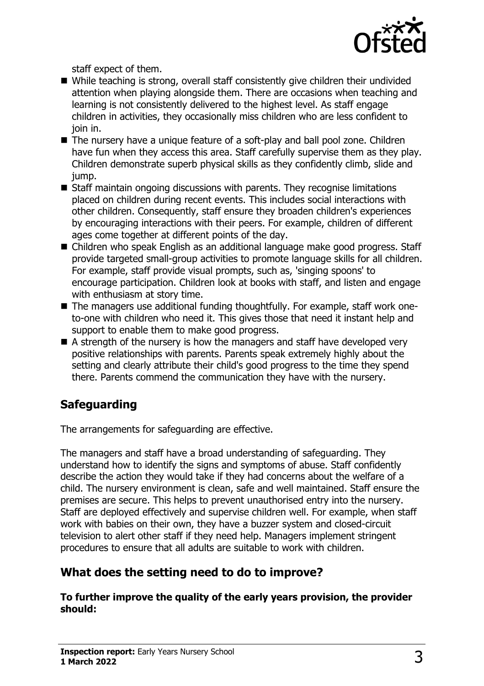

staff expect of them.

- $\blacksquare$  While teaching is strong, overall staff consistently give children their undivided attention when playing alongside them. There are occasions when teaching and learning is not consistently delivered to the highest level. As staff engage children in activities, they occasionally miss children who are less confident to join in.
- The nursery have a unique feature of a soft-play and ball pool zone. Children have fun when they access this area. Staff carefully supervise them as they play. Children demonstrate superb physical skills as they confidently climb, slide and jump.
- $\blacksquare$  Staff maintain ongoing discussions with parents. They recognise limitations placed on children during recent events. This includes social interactions with other children. Consequently, staff ensure they broaden children's experiences by encouraging interactions with their peers. For example, children of different ages come together at different points of the day.
- Children who speak English as an additional language make good progress. Staff provide targeted small-group activities to promote language skills for all children. For example, staff provide visual prompts, such as, 'singing spoons' to encourage participation. Children look at books with staff, and listen and engage with enthusiasm at story time.
- The managers use additional funding thoughtfully. For example, staff work oneto-one with children who need it. This gives those that need it instant help and support to enable them to make good progress.
- $\blacksquare$  A strength of the nursery is how the managers and staff have developed very positive relationships with parents. Parents speak extremely highly about the setting and clearly attribute their child's good progress to the time they spend there. Parents commend the communication they have with the nursery.

# **Safeguarding**

The arrangements for safeguarding are effective.

The managers and staff have a broad understanding of safeguarding. They understand how to identify the signs and symptoms of abuse. Staff confidently describe the action they would take if they had concerns about the welfare of a child. The nursery environment is clean, safe and well maintained. Staff ensure the premises are secure. This helps to prevent unauthorised entry into the nursery. Staff are deployed effectively and supervise children well. For example, when staff work with babies on their own, they have a buzzer system and closed-circuit television to alert other staff if they need help. Managers implement stringent procedures to ensure that all adults are suitable to work with children.

## **What does the setting need to do to improve?**

**To further improve the quality of the early years provision, the provider should:**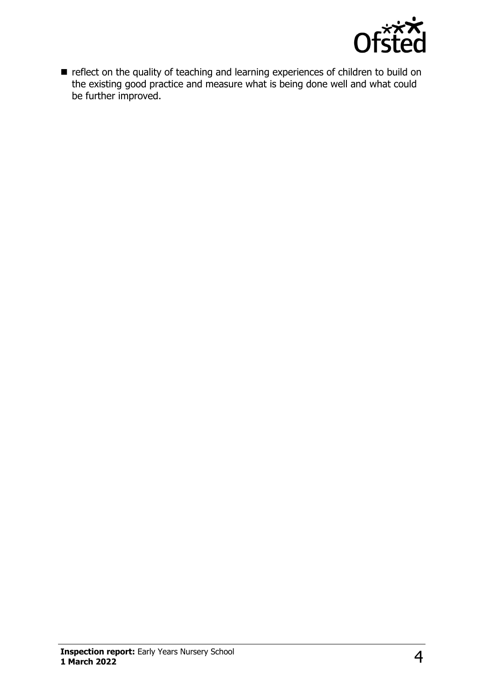

**n** reflect on the quality of teaching and learning experiences of children to build on the existing good practice and measure what is being done well and what could be further improved.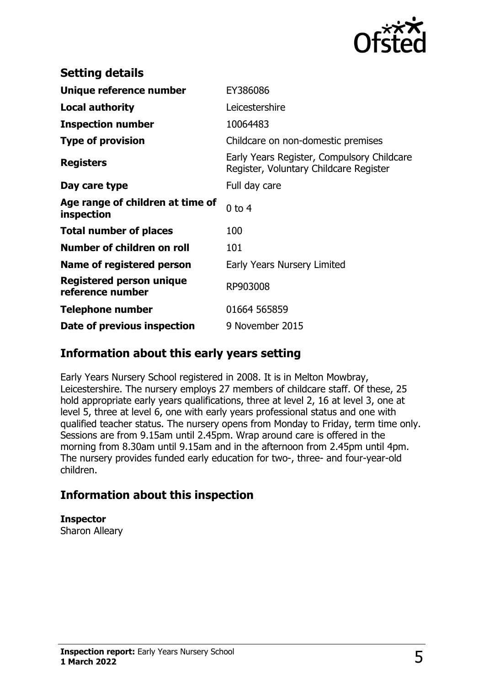

| <b>Setting details</b>                              |                                                                                      |
|-----------------------------------------------------|--------------------------------------------------------------------------------------|
| Unique reference number                             | EY386086                                                                             |
| <b>Local authority</b>                              | Leicestershire                                                                       |
| <b>Inspection number</b>                            | 10064483                                                                             |
| <b>Type of provision</b>                            | Childcare on non-domestic premises                                                   |
| <b>Registers</b>                                    | Early Years Register, Compulsory Childcare<br>Register, Voluntary Childcare Register |
| Day care type                                       | Full day care                                                                        |
| Age range of children at time of<br>inspection      | $0$ to $4$                                                                           |
| <b>Total number of places</b>                       | 100                                                                                  |
| Number of children on roll                          | 101                                                                                  |
| Name of registered person                           | Early Years Nursery Limited                                                          |
| <b>Registered person unique</b><br>reference number | RP903008                                                                             |
| <b>Telephone number</b>                             | 01664 565859                                                                         |
| Date of previous inspection                         | 9 November 2015                                                                      |

## **Information about this early years setting**

Early Years Nursery School registered in 2008. It is in Melton Mowbray, Leicestershire. The nursery employs 27 members of childcare staff. Of these, 25 hold appropriate early years qualifications, three at level 2, 16 at level 3, one at level 5, three at level 6, one with early years professional status and one with qualified teacher status. The nursery opens from Monday to Friday, term time only. Sessions are from 9.15am until 2.45pm. Wrap around care is offered in the morning from 8.30am until 9.15am and in the afternoon from 2.45pm until 4pm. The nursery provides funded early education for two-, three- and four-year-old children.

## **Information about this inspection**

**Inspector**

Sharon Alleary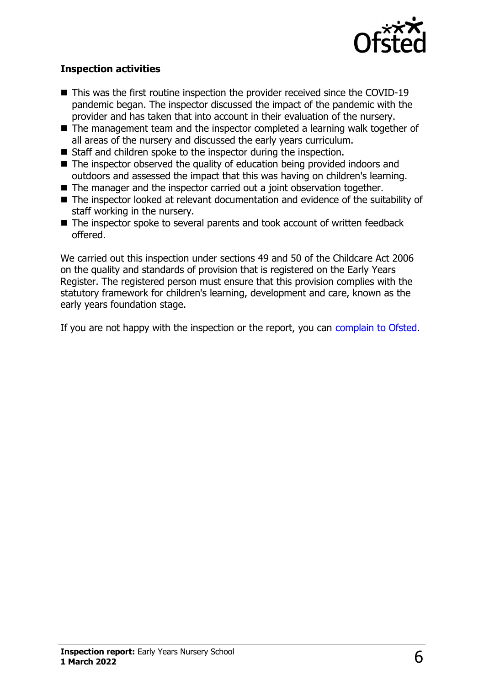

#### **Inspection activities**

- $\blacksquare$  This was the first routine inspection the provider received since the COVID-19 pandemic began. The inspector discussed the impact of the pandemic with the provider and has taken that into account in their evaluation of the nursery.
- $\blacksquare$  The management team and the inspector completed a learning walk together of all areas of the nursery and discussed the early years curriculum.
- $\blacksquare$  Staff and children spoke to the inspector during the inspection.
- $\blacksquare$  The inspector observed the quality of education being provided indoors and outdoors and assessed the impact that this was having on children's learning.
- $\blacksquare$  The manager and the inspector carried out a joint observation together.
- $\blacksquare$  The inspector looked at relevant documentation and evidence of the suitability of staff working in the nursery.
- $\blacksquare$  The inspector spoke to several parents and took account of written feedback offered.

We carried out this inspection under sections 49 and 50 of the Childcare Act 2006 on the quality and standards of provision that is registered on the Early Years Register. The registered person must ensure that this provision complies with the statutory framework for children's learning, development and care, known as the early years foundation stage.

If you are not happy with the inspection or the report, you can [complain to Ofsted](http://www.gov.uk/complain-ofsted-report).